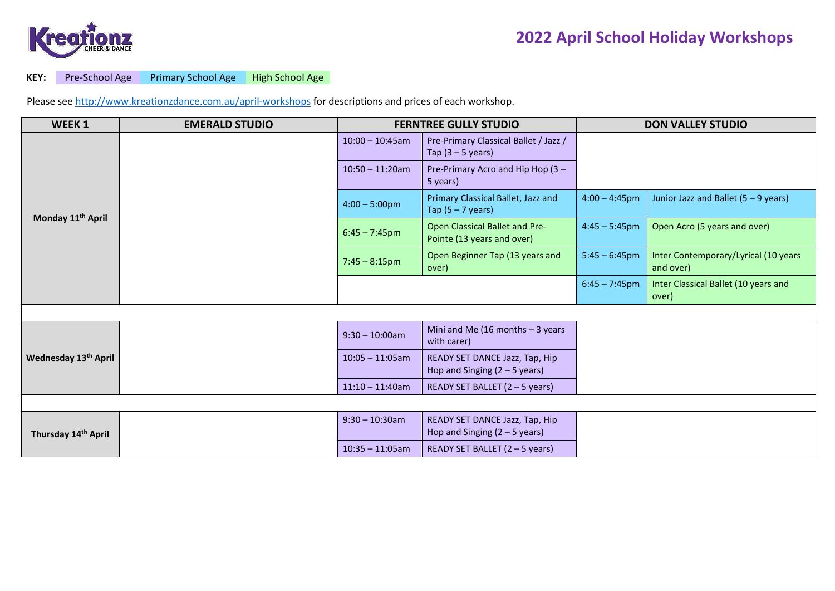

## **KEY:** Pre-School Age Primary School Age High School Age

Please see<http://www.kreationzdance.com.au/april-workshops> for descriptions and prices of each workshop.

| WEEK <sub>1</sub>                | <b>EMERALD STUDIO</b> |                         | <b>FERNTREE GULLY STUDIO</b>                                      | <b>DON VALLEY STUDIO</b> |                                                   |  |  |  |  |
|----------------------------------|-----------------------|-------------------------|-------------------------------------------------------------------|--------------------------|---------------------------------------------------|--|--|--|--|
| Monday 11 <sup>th</sup> April    |                       | $10:00 - 10:45$ am      | Pre-Primary Classical Ballet / Jazz /<br>Tap $(3 - 5$ years)      |                          |                                                   |  |  |  |  |
|                                  |                       | $10:50 - 11:20am$       | Pre-Primary Acro and Hip Hop (3 -<br>5 years)                     |                          |                                                   |  |  |  |  |
|                                  |                       | $4:00 - 5:00 \text{pm}$ | Primary Classical Ballet, Jazz and<br>Tap $(5 - 7$ years)         | $4:00 - 4:45$ pm         | Junior Jazz and Ballet (5 - 9 years)              |  |  |  |  |
|                                  |                       | $6:45 - 7:45$ pm        | Open Classical Ballet and Pre-<br>Pointe (13 years and over)      | $4:45 - 5:45$ pm         | Open Acro (5 years and over)                      |  |  |  |  |
|                                  |                       | $7:45 - 8:15$ pm        | Open Beginner Tap (13 years and<br>over)                          | $5:45 - 6:45$ pm         | Inter Contemporary/Lyrical (10 years<br>and over) |  |  |  |  |
|                                  |                       |                         |                                                                   | $6:45 - 7:45$ pm         | Inter Classical Ballet (10 years and<br>over)     |  |  |  |  |
|                                  |                       |                         |                                                                   |                          |                                                   |  |  |  |  |
| Wednesday 13 <sup>th</sup> April |                       | $9:30 - 10:00$ am       | Mini and Me (16 months $-3$ years<br>with carer)                  |                          |                                                   |  |  |  |  |
|                                  |                       | $10:05 - 11:05am$       | READY SET DANCE Jazz, Tap, Hip<br>Hop and Singing $(2 - 5$ years) |                          |                                                   |  |  |  |  |
|                                  |                       | $11:10 - 11:40$ am      | READY SET BALLET $(2 - 5$ years)                                  |                          |                                                   |  |  |  |  |
|                                  |                       |                         |                                                                   |                          |                                                   |  |  |  |  |
| Thursday 14th April              |                       | $9:30 - 10:30$ am       | READY SET DANCE Jazz, Tap, Hip<br>Hop and Singing $(2 – 5$ years) |                          |                                                   |  |  |  |  |
|                                  |                       | $10:35 - 11:05am$       | READY SET BALLET (2 - 5 years)                                    |                          |                                                   |  |  |  |  |